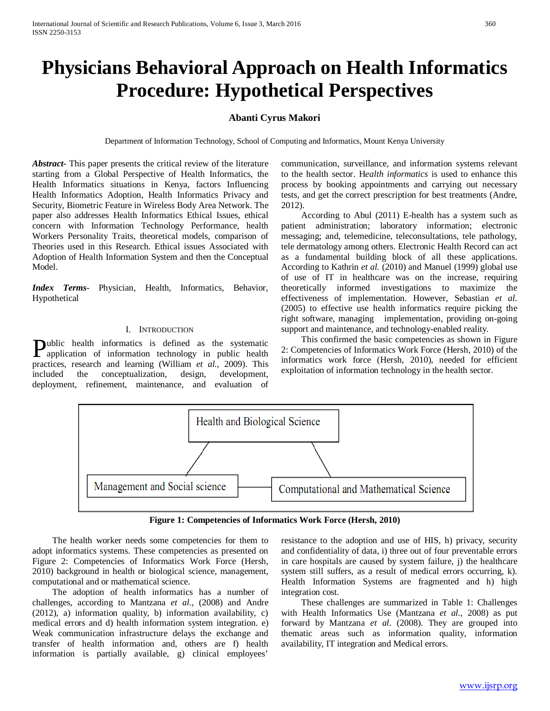# **Physicians Behavioral Approach on Health Informatics Procedure: Hypothetical Perspectives**

# **Abanti Cyrus Makori**

Department of Information Technology, School of Computing and Informatics, Mount Kenya University

*Abstract***-** This paper presents the critical review of the literature starting from a Global Perspective of Health Informatics, the Health Informatics situations in Kenya, factors Influencing Health Informatics Adoption, Health Informatics Privacy and Security, Biometric Feature in Wireless Body Area Network. The paper also addresses Health Informatics Ethical Issues, ethical concern with Information Technology Performance, health Workers Personality Traits, theoretical models, comparison of Theories used in this Research. Ethical issues Associated with Adoption of Health Information System and then the Conceptual Model.

*Index Terms*- Physician, Health, Informatics, Behavior, Hypothetical

#### I. INTRODUCTION

ublic health informatics is defined as the systematic **Public health informatics is defined as the systematic application of information technology in public health dependence of the computation of the computation of the computation of the computation of the computation of th** practices, research and learning (William *et al.*, 2009). This included the conceptualization, design, development, deployment, refinement, maintenance, and evaluation of

communication, surveillance, and information systems relevant to the health sector. H*ealth informatics* is used to enhance this process by booking appointments and carrying out necessary tests, and get the correct prescription for best treatments (Andre, 2012).

 According to Abul (2011) E-health has a system such as patient administration; laboratory information; electronic messaging; and, telemedicine, teleconsultations, tele pathology, tele dermatology among others. Electronic Health Record can act as a fundamental building block of all these applications. According to Kathrin *et al.* (2010) and Manuel (1999) global use of use of IT in healthcare was on the increase, requiring theoretically informed investigations to maximize the effectiveness of implementation. However, Sebastian *et al.* (2005) to effective use health informatics require picking the right software, managing implementation, providing on-going support and maintenance, and technology-enabled reality.

 This confirmed the basic competencies as shown in Figure 2: Competencies of Informatics Work Force (Hersh, 2010) of the informatics work force (Hersh, 2010), needed for efficient exploitation of information technology in the health sector.



**Figure 1: Competencies of Informatics Work Force (Hersh, 2010)**

<span id="page-0-0"></span> The health worker needs some competencies for them to adopt informatics systems. These competencies as presented on [Figure 2: Competencies of Informatics Work Force \(Hersh,](#page-0-0)  [2010\)](#page-0-0) background in health or biological science, management, computational and or mathematical science.

 The adoption of health informatics has a number of challenges, according to Mantzana *et al*., (2008) and Andre (2012), a) information quality, b) information availability, c) medical errors and d) health information system integration. e) Weak communication infrastructure delays the exchange and transfer of health information and, others are f) health information is partially available, g) clinical employees'

resistance to the adoption and use of HIS, h) privacy, security and confidentiality of data, i) three out of four preventable errors in care hospitals are caused by system failure, j) the healthcare system still suffers, as a result of medical errors occurring, k). Health Information Systems are fragmented and h) high integration cost.

 These challenges are summarized in Table 1: Challenges with Health Informatics Use (Mantzana *et al*., 2008) as put forward by Mantzana *et al*. (2008). They are grouped into thematic areas such as information quality, information availability, IT integration and Medical errors.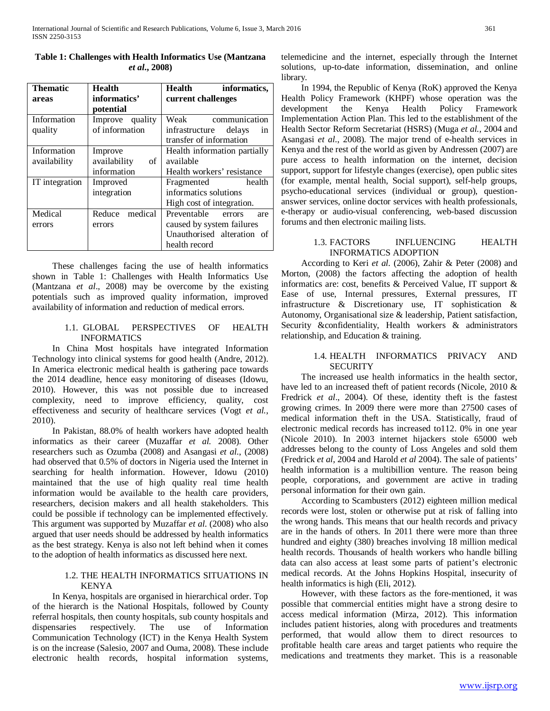| <b>Thematic</b> | <b>Health</b>      | Health<br>informatics,       |  |
|-----------------|--------------------|------------------------------|--|
| areas           | informatics'       | current challenges           |  |
|                 | potential          |                              |  |
| Information     | Improve quality    | Weak<br>communication        |  |
| quality         | of information     | infrastructure delays<br>in  |  |
|                 |                    | transfer of information      |  |
| Information     | Improve            | Health information partially |  |
| availability    | availability<br>οf | available                    |  |
|                 | information        | Health workers' resistance   |  |
| IT integration  | Improved           | health<br>Fragmented         |  |
|                 | integration        | informatics solutions        |  |
|                 |                    | High cost of integration.    |  |
| Medical         | medical<br>Reduce  | Preventable<br>errors<br>are |  |
| errors          | errors             | caused by system failures    |  |
|                 |                    | Unauthorised alteration of   |  |
|                 |                    | health record                |  |

<span id="page-1-0"></span>**Table 1: Challenges with Health Informatics Use (Mantzana**  *et al***., 2008)**

 These challenges facing the use of health informatics shown in [Table 1: Challenges with Health Informatics Use](#page-1-0)  [\(Mantzana](#page-1-0) *et al*., 2008) may be overcome by the existing potentials such as improved quality information, improved availability of information and reduction of medical errors.

#### 1.1. GLOBAL PERSPECTIVES OF HEALTH INFORMATICS

 In China Most hospitals have integrated Information Technology into clinical systems for good health (Andre, 2012). In America electronic medical health is gathering pace towards the 2014 deadline, hence easy monitoring of diseases (Idowu, 2010). However, this was not possible due to increased complexity, need to improve efficiency, quality, cost effectiveness and security of healthcare services (Vogt *et al.*, 2010).

 In Pakistan, 88.0% of health workers have adopted health informatics as their career (Muzaffar *et al.* 2008). Other researchers such as Ozumba (2008) and Asangasi *et al*., (2008) had observed that 0.5% of doctors in Nigeria used the Internet in searching for health information. However, Idowu (2010) maintained that the use of high quality real time health information would be available to the health care providers, researchers, decision makers and all health stakeholders. This could be possible if technology can be implemented effectively. This argument was supported by Muzaffar *et al*. (2008) who also argued that user needs should be addressed by health informatics as the best strategy. Kenya is also not left behind when it comes to the adoption of health informatics as discussed here next.

# 1.2. THE HEALTH INFORMATICS SITUATIONS IN KENYA

 In Kenya, hospitals are organised in hierarchical order. Top of the hierarch is the National Hospitals, followed by County referral hospitals, then county hospitals, sub county hospitals and dispensaries respectively. The use of Information Communication Technology (ICT) in the Kenya Health System is on the increase (Salesio, 2007 and Ouma, 2008). These include electronic health records, hospital information systems, telemedicine and the internet, especially through the Internet solutions, up-to-date information, dissemination, and online library.

 In 1994, the Republic of Kenya (RoK) approved the Kenya Health Policy Framework (KHPF) whose operation was the development the Kenya Health Policy Framework Implementation Action Plan. This led to the establishment of the Health Sector Reform Secretariat (HSRS) (Muga *et al.*, 2004 and Asangasi *et al*., 2008). The major trend of e-health services in Kenya and the rest of the world as given by Andressen (2007) are pure access to health information on the internet, decision support, support for lifestyle changes (exercise), open public sites (for example, mental health, Social support), self-help groups, psycho-educational services (individual or group), questionanswer services, online doctor services with health professionals, e-therapy or audio-visual conferencing, web-based discussion forums and then electronic mailing lists.

#### 1.3. FACTORS INFLUENCING HEALTH INFORMATICS ADOPTION

 According to Keri *et al.* (2006), Zahir & Peter (2008) and Morton, (2008) the factors affecting the adoption of health informatics are: cost, benefits & Perceived Value, IT support & Ease of use, Internal pressures, External pressures, IT infrastructure & Discretionary use, IT sophistication & Autonomy, Organisational size & leadership, Patient satisfaction, Security &confidentiality, Health workers & administrators relationship, and Education & training.

# 1.4. HEALTH INFORMATICS PRIVACY AND **SECURITY**

 The increased use health informatics in the health sector, have led to an increased theft of patient records (Nicole, 2010 & Fredrick *et al*., 2004). Of these, identity theft is the fastest growing crimes. In 2009 there were more than 27500 cases of medical information theft in the USA. Statistically, fraud of electronic medical records has increased to112. 0% in one year (Nicole 2010). In 2003 internet hijackers stole 65000 web addresses belong to the county of Loss Angeles and sold them (Fredrick *et al*, 2004 and Harold *et al* 2004). The sale of patients' health information is a multibillion venture. The reason being people, corporations, and government are active in trading personal information for their own gain.

 According to Scambusters (2012) eighteen million medical records were lost, stolen or otherwise put at risk of falling into the wrong hands. This means that our health records and privacy are in the hands of others. In 2011 there were more than three hundred and eighty (380) breaches involving 18 million medical health records. Thousands of health workers who handle billing data can also access at least some parts of patient's electronic medical records. At the Johns Hopkins Hospital, insecurity of health informatics is high (Eli, 2012).

 However, with these factors as the fore-mentioned, it was possible that commercial entities might have a strong desire to access medical information (Mirza, 2012). This information includes patient histories, along with procedures and treatments performed, that would allow them to direct resources to profitable health care areas and target patients who require the medications and treatments they market. This is a reasonable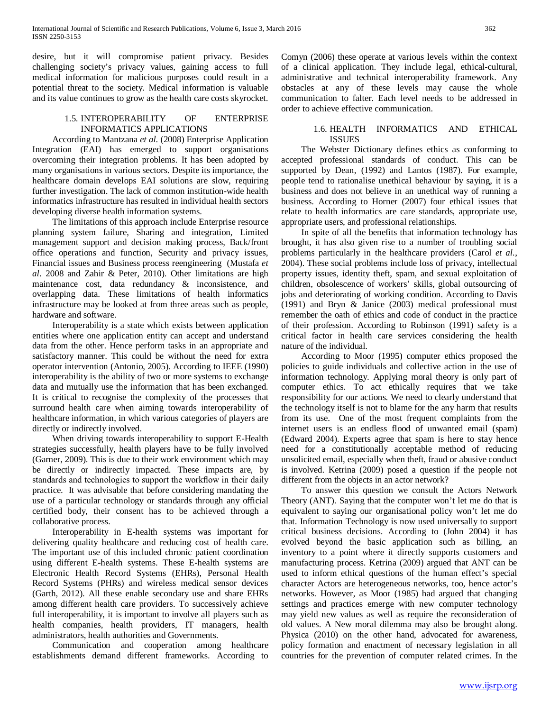desire, but it will compromise patient privacy. Besides challenging society's privacy values, gaining access to full medical information for malicious purposes could result in a potential threat to the society. Medical information is valuable and its value continues to grow as the health care costs skyrocket.

# 1.5. INTEROPERABILITY OF ENTERPRISE INFORMATICS APPLICATIONS

 According to Mantzana *et al*. (2008) Enterprise Application Integration (EAI) has emerged to support organisations overcoming their integration problems. It has been adopted by many organisations in various sectors. Despite its importance, the healthcare domain develops EAI solutions are slow, requiring further investigation. The lack of common institution-wide health informatics infrastructure has resulted in individual health sectors developing diverse health information systems.

 The limitations of this approach include Enterprise resource planning system failure, Sharing and integration, Limited management support and decision making process, Back/front office operations and function, Security and privacy issues, Financial issues and Business process reengineering (Mustafa *et al*. 2008 and Zahir & Peter, 2010). Other limitations are high maintenance cost, data redundancy & inconsistence, and overlapping data. These limitations of health informatics infrastructure may be looked at from three areas such as people, hardware and software.

 Interoperability is a state which exists between application entities where one application entity can accept and understand data from the other. Hence perform tasks in an appropriate and satisfactory manner. This could be without the need for extra operator intervention (Antonio, 2005). According to IEEE (1990) interoperability is the ability of two or more systems to exchange data and mutually use the information that has been exchanged. It is critical to recognise the complexity of the processes that surround health care when aiming towards interoperability of healthcare information, in which various categories of players are directly or indirectly involved.

 When driving towards interoperability to support E-Health strategies successfully, health players have to be fully involved (Garner, 2009). This is due to their work environment which may be directly or indirectly impacted. These impacts are, by standards and technologies to support the workflow in their daily practice. It was advisable that before considering mandating the use of a particular technology or standards through any official certified body, their consent has to be achieved through a collaborative process.

 Interoperability in E-health systems was important for delivering quality healthcare and reducing cost of health care. The important use of this included chronic patient coordination using different E-health systems. These E-health systems are Electronic Health Record Systems (EHRs), Personal Health Record Systems (PHRs) and wireless medical sensor devices (Garth, 2012). All these enable secondary use and share EHRs among different health care providers. To successively achieve full interoperability, it is important to involve all players such as health companies, health providers, IT managers, health administrators, health authorities and Governments.

 Communication and cooperation among healthcare establishments demand different frameworks. According to Comyn (2006) these operate at various levels within the context of a clinical application. They include legal, ethical-cultural, administrative and technical interoperability framework. Any obstacles at any of these levels may cause the whole communication to falter. Each level needs to be addressed in order to achieve effective communication.

# 1.6. HEALTH INFORMATICS AND ETHICAL ISSUES

 The Webster Dictionary defines ethics as conforming to accepted professional standards of conduct. This can be supported by Dean, (1992) and Lantos (1987). For example, people tend to rationalise unethical behaviour by saying, it is a business and does not believe in an unethical way of running a business. According to Horner (2007) four ethical issues that relate to health informatics are care standards, appropriate use, appropriate users, and professional relationships.

 In spite of all the benefits that information technology has brought, it has also given rise to a number of troubling social problems particularly in the healthcare providers (Carol *et al.*, 2004). These social problems include loss of privacy, intellectual property issues, identity theft, spam, and sexual exploitation of children, obsolescence of workers' skills, global outsourcing of jobs and deteriorating of working condition. According to Davis (1991) and Bryn & Janice (2003) medical professional must remember the oath of ethics and code of conduct in the practice of their profession. According to Robinson (1991) safety is a critical factor in health care services considering the health nature of the individual.

 According to Moor (1995) computer ethics proposed the policies to guide individuals and collective action in the use of information technology. Applying moral theory is only part of computer ethics. To act ethically requires that we take responsibility for our actions. We need to clearly understand that the technology itself is not to blame for the any harm that results from its use. One of the most frequent complaints from the internet users is an endless flood of unwanted email (spam) (Edward 2004). Experts agree that spam is here to stay hence need for a constitutionally acceptable method of reducing unsolicited email, especially when theft, fraud or abusive conduct is involved. Ketrina (2009) posed a question if the people not different from the objects in an actor network?

 To answer this question we consult the Actors Network Theory (ANT). Saying that the computer won't let me do that is equivalent to saying our organisational policy won't let me do that. Information Technology is now used universally to support critical business decisions. According to (John 2004) it has evolved beyond the basic application such as billing, an inventory to a point where it directly supports customers and manufacturing process. Ketrina (2009) argued that ANT can be used to inform ethical questions of the human effect's special character Actors are heterogeneous networks, too, hence actor's networks. However, as Moor (1985) had argued that changing settings and practices emerge with new computer technology may yield new values as well as require the reconsideration of old values. A New moral dilemma may also be brought along. Physica (2010) on the other hand, advocated for awareness, policy formation and enactment of necessary legislation in all countries for the prevention of computer related crimes. In the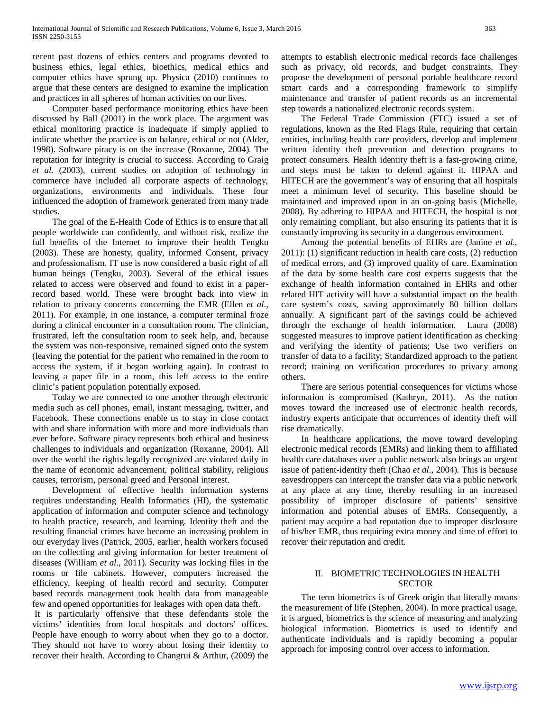recent past dozens of ethics centers and programs devoted to business ethics, legal ethics, bioethics, medical ethics and computer ethics have sprung up. Physica (2010) continues to argue that these centers are designed to examine the implication and practices in all spheres of human activities on our lives.

 Computer based performance monitoring ethics have been discussed by Ball (2001) in the work place. The argument was ethical monitoring practice is inadequate if simply applied to indicate whether the practice is on balance, ethical or not (Alder, 1998). Software piracy is on the increase (Roxanne, 2004). The reputation for integrity is crucial to success. According to Graig *et al.* (2003), current studies on adoption of technology in commerce have included all corporate aspects of technology, organizations, environments and individuals. These four influenced the adoption of framework generated from many trade studies.

 The goal of the E-Health Code of Ethics is to ensure that all people worldwide can confidently, and without risk, realize the full benefits of the Internet to improve their health Tengku (2003). These are honesty, quality, informed Consent, privacy and professionalism. IT use is now considered a basic right of all human beings (Tengku, 2003). Several of the ethical issues related to access were observed and found to exist in a paperrecord based world. These were brought back into view in relation to privacy concerns concerning the EMR (Ellen *et al*., 2011). For example, in one instance, a computer terminal froze during a clinical encounter in a consultation room. The clinician, frustrated, left the consultation room to seek help, and, because the system was non-responsive, remained signed onto the system (leaving the potential for the patient who remained in the room to access the system, if it began working again). In contrast to leaving a paper file in a room, this left access to the entire clinic's patient population potentially exposed.

 Today we are connected to one another through electronic media such as cell phones, email, instant messaging, twitter, and Facebook. These connections enable us to stay in close contact with and share information with more and more individuals than ever before. Software piracy represents both ethical and business challenges to individuals and organization (Roxanne, 2004). All over the world the rights legally recognized are violated daily in the name of economic advancement, political stability, religious causes, terrorism, personal greed and Personal interest.

 Development of effective health information systems requires understanding Health Informatics (HI), the systematic application of information and computer science and technology to health practice, research, and learning. Identity theft and the resulting financial crimes have become an increasing problem in our everyday lives (Patrick, 2005, earlier, health workers focused on the collecting and giving information for better treatment of diseases (William *et al*., 2011). Security was locking files in the rooms or file cabinets. However, computers increased the efficiency, keeping of health record and security. Computer based records management took health data from manageable few and opened opportunities for leakages with open data theft.

It is particularly offensive that these defendants stole the victims' identities from local hospitals and doctors' offices. People have enough to worry about when they go to a doctor. They should not have to worry about losing their identity to recover their health. According to Changrui & Arthur, (2009) the attempts to establish electronic medical records face challenges such as privacy, old records, and budget constraints. They propose the development of personal portable healthcare record smart cards and a corresponding framework to simplify maintenance and transfer of patient records as an incremental step towards a nationalized electronic records system.

 The Federal Trade Commission (FTC) issued a set of regulations, known as the Red Flags Rule, requiring that certain entities, including health care providers, develop and implement written identity theft prevention and detection programs to protect consumers. Health identity theft is a fast-growing crime, and steps must be taken to defend against it. HIPAA and HITECH are the government's way of ensuring that all hospitals meet a minimum level of security. This baseline should be maintained and improved upon in an on-going basis (Michelle, 2008). By adhering to HIPAA and HITECH, the hospital is not only remaining compliant, but also ensuring its patients that it is constantly improving its security in a dangerous environment.

 Among the potential benefits of EHRs are (Janine *et al*., 2011): (1) significant reduction in health care costs, (2) reduction of medical errors, and (3) improved quality of care. Examination of the data by some health care cost experts suggests that the exchange of health information contained in EHRs and other related HIT activity will have a substantial impact on the health care system's costs, saving approximately 80 billion dollars annually. A significant part of the savings could be achieved through the exchange of health information. Laura (2008) suggested measures to improve patient identification as checking and verifying the identity of patients; Use two verifiers on transfer of data to a facility; Standardized approach to the patient record; training on verification procedures to privacy among others.

 There are serious potential consequences for victims whose information is compromised (Kathryn, 2011). As the nation moves toward the increased use of electronic health records, industry experts anticipate that occurrences of identity theft will rise dramatically.

 In healthcare applications, the move toward developing electronic medical records (EMRs) and linking them to affiliated health care databases over a public network also brings an urgent issue of patient-identity theft (Chao *et al*., 2004). This is because eavesdroppers can intercept the transfer data via a public network at any place at any time, thereby resulting in an increased possibility of improper disclosure of patients' sensitive information and potential abuses of EMRs. Consequently, a patient may acquire a bad reputation due to improper disclosure of his/her EMR, thus requiring extra money and time of effort to recover their reputation and credit.

#### II. BIOMETRIC TECHNOLOGIES IN HEALTH **SECTOR**

 The term biometrics is of Greek origin that literally means the measurement of life (Stephen, 2004). In more practical usage, it is argued, biometrics is the science of measuring and analyzing biological information. Biometrics is used to identify and authenticate individuals and is rapidly becoming a popular approach for imposing control over access to information.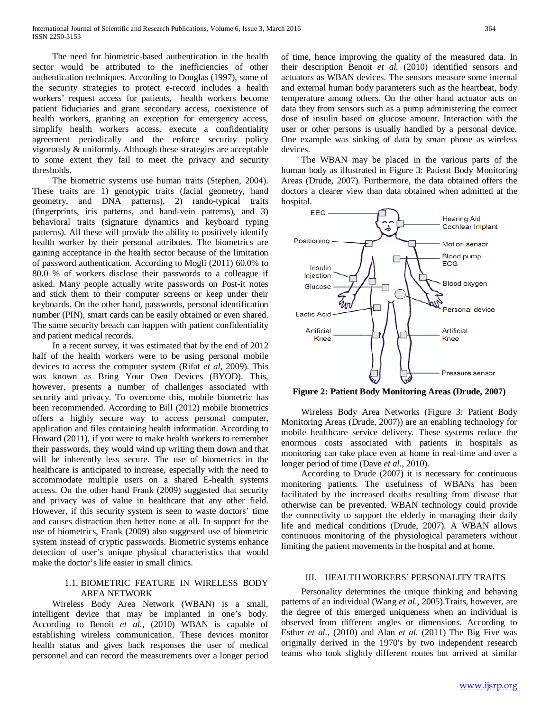The need for biometric-based authentication in the health sector would be attributed to the inefficiencies of other authentication techniques. According to Douglas (1997), some of the security strategies to protect e-record includes a health workers' request access for patients, health workers become patient fiduciaries and grant secondary access, coexistence of health workers, granting an exception for emergency access, simplify health workers access, execute a confidentiality agreement periodically and the enforce security policy vigorously & uniformly. Although these strategies are acceptable to some extent they fail to meet the privacy and security thresholds.

 The biometric systems use human traits (Stephen, 2004). These traits are 1) genotypic traits (facial geometry, hand geometry, and DNA patterns), 2) rando-typical traits (fingerprints, iris patterns, and hand-vein patterns), and 3) behavioral traits (signature dynamics and keyboard typing patterns). All these will provide the ability to positively identify health worker by their personal attributes. The biometrics are gaining acceptance in the health sector because of the limitation of password authentication. According to Mogli (2011) 60.0% to 80.0 % of workers disclose their passwords to a colleague if asked. Many people actually write passwords on Post-it notes and stick them to their computer screens or keep under their keyboards. On the other hand, passwords, personal identification number (PIN), smart cards can be easily obtained or even shared. The same security breach can happen with patient confidentiality and patient medical records.

 In a recent survey, it was estimated that by the end of 2012 half of the health workers were to be using personal mobile devices to access the computer system (Rifat *et al*, 2009). This was known as Bring Your Own Devices (BYOD). This, however, presents a number of challenges associated with security and privacy. To overcome this, mobile biometric has been recommended. According to Bill (2012) mobile biometrics offers a highly secure way to access personal computer, application and files containing health information. According to Howard (2011), if you were to make health workers to remember their passwords, they would wind up writing them down and that will be inherently less secure. The use of biometrics in the healthcare is anticipated to increase, especially with the need to accommodate multiple users on a shared E-health systems access. On the other hand Frank (2009) suggested that security and privacy was of value in healthcare that any other field. However, if this security system is seen to waste doctors' time and causes distraction then better none at all. In support for the use of biometrics, Frank (2009) also suggested use of biometric system instead of cryptic passwords. Biometric systems enhance detection of user's unique physical characteristics that would make the doctor's life easier in small clinics.

# 1.1. BIOMETRIC FEATURE IN WIRELESS BODY AREA NETWORK

 Wireless Body Area Network (WBAN) is a small, intelligent device that may be implanted in one's body. According to Benoit *et al.,* (2010) WBAN is capable of establishing wireless communication. These devices monitor health status and gives back responses the user of medical personnel and can record the measurements over a longer period of time, hence improving the quality of the measured data. In their description Benoit *et al.* (2010) identified sensors and actuators as WBAN devices. The sensors measure some internal and external human body parameters such as the heartbeat, body temperature among others. On the other hand actuator acts on data they from sensors such as a pump administering the correct dose of insulin based on glucose amount. Interaction with the user or other persons is usually handled by a personal device. One example was sinking of data by smart phone as wireless devices.

 The WBAN may be placed in the various parts of the human body as illustrated in Figure 3: Patient Body Monitoring Areas (Drude, 2007). Furthermore, the data obtained offers the doctors a clearer view than data obtained when admitted at the hospital.



<span id="page-4-0"></span>**Figure 2: Patient Body Monitoring Areas (Drude, 2007)**

 Wireless Body Area Networks [\(Figure 3: Patient Body](#page-4-0)  [Monitoring Areas \(Drude, 2007\)\)](#page-4-0) are an enabling technology for mobile healthcare service delivery. These systems reduce the enormous costs associated with patients in hospitals as monitoring can take place even at home in real-time and over a longer period of time (Dave *et al*., 2010).

 According to Drude (2007) it is necessary for continuous monitoring patients. The usefulness of WBANs has been facilitated by the increased deaths resulting from disease that otherwise can be prevented. WBAN technology could provide the connectivity to support the elderly in managing their daily life and medical conditions (Drude, 2007). A WBAN allows continuous monitoring of the physiological parameters without limiting the patient movements in the hospital and at home.

#### III. HEALTH WORKERS' PERSONALITY TRAITS

 Personality determines the unique thinking and behaving patterns of an individual (Wang *et al*., 2005).Traits, however, are the degree of this emerged uniqueness when an individual is observed from different angles or dimensions. According to Esther *et al.,* (2010) and Alan *et al*. (2011) The Big Five was originally derived in the 1970's by two independent research teams who took slightly different routes but arrived at similar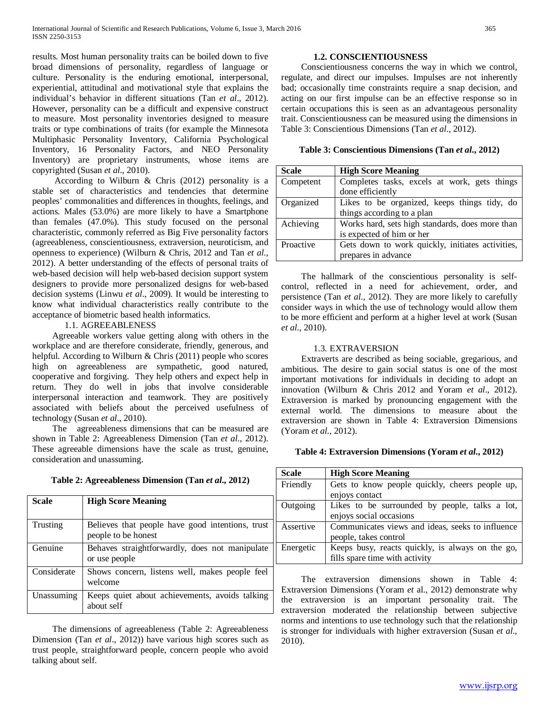results. Most human personality traits can be boiled down to five broad dimensions of personality, regardless of language or culture. Personality is the enduring emotional, interpersonal, experiential, attitudinal and motivational style that explains the individual's behavior in different situations (Tan *et al*., 2012). However, personality can be a difficult and expensive construct to measure. Most personality inventories designed to measure traits or type combinations of traits (for example the Minnesota Multiphasic Personality Inventory, California Psychological Inventory, 16 Personality Factors, and NEO Personality Inventory) are proprietary instruments, whose items are copyrighted (Susan *et al*., 2010).

 According to Wilburn & Chris (2012) personality is a stable set of characteristics and tendencies that determine peoples' commonalities and differences in thoughts, feelings, and actions. Males (53.0%) are more likely to have a Smartphone than females (47.0%). This study focused on the personal characteristic, commonly referred as Big Five personality factors (agreeableness, conscientiousness, extraversion, neuroticism, and openness to experience) (Wilburn & Chris, 2012 and Tan *et al*., 2012). A better understanding of the effects of personal traits of web-based decision will help web-based decision support system designers to provide more personalized designs for web-based decision systems (Linwu *et al*., 2009). It would be interesting to know what individual characteristics really contribute to the acceptance of biometric based health informatics.

#### 1.1. AGREEABLENESS

 Agreeable workers value getting along with others in the workplace and are therefore considerate, friendly, generous, and helpful. According to Wilburn & Chris (2011) people who scores high on agreeableness are sympathetic, good natured, cooperative and forgiving. They help others and expect help in return. They do well in jobs that involve considerable interpersonal interaction and teamwork. They are positively associated with beliefs about the perceived usefulness of technology (Susan *et al*., 2010).

 The agreeableness dimensions that can be measured are shown in Table 2: Agreeableness Dimension (Tan *et al*., 2012). These agreeable dimensions have the scale as trust, genuine, consideration and unassuming.

**Table 2: Agreeableness Dimension (Tan** *et al***., 2012)**

<span id="page-5-0"></span>

| Scale       | <b>High Score Meaning</b>                                               |
|-------------|-------------------------------------------------------------------------|
| Trusting    | Believes that people have good intentions, trust<br>people to be honest |
| Genuine     | Behaves straightforwardly, does not manipulate<br>or use people         |
| Considerate | Shows concern, listens well, makes people feel<br>welcome               |
| Unassuming  | Keeps quiet about achievements, avoids talking<br>about self            |

 The dimensions of agreeableness [\(Table 2: Agreeableness](#page-5-0)  [Dimension \(Tan](#page-5-0) *et al*., 2012)) have various high scores such as trust people, straightforward people, concern people who avoid talking about self.

#### **1.2. CONSCIENTIOUSNESS**

 Conscientiousness concerns the way in which we control, regulate, and direct our impulses. Impulses are not inherently bad; occasionally time constraints require a snap decision, and acting on our first impulse can be an effective response so in certain occupations this is seen as an advantageous personality trait. Conscientiousness can be measured using the dimensions in Table 3: Conscientious Dimensions (Tan *et al*., 2012).

**Table 3: Conscientious Dimensions (Tan** *et al***., 2012)**

| <b>Scale</b> | <b>High Score Meaning</b>                        |
|--------------|--------------------------------------------------|
| Competent    | Completes tasks, excels at work, gets things     |
|              | done efficiently                                 |
| Organized    | Likes to be organized, keeps things tidy, do     |
|              | things according to a plan                       |
| Achieving    | Works hard, sets high standards, does more than  |
|              | is expected of him or her                        |
| Proactive    | Gets down to work quickly, initiates activities, |
|              | prepares in advance                              |

 The hallmark of the conscientious personality is selfcontrol, reflected in a need for achievement, order, and persistence (Tan *et al*., 2012). They are more likely to carefully consider ways in which the use of technology would allow them to be more efficient and perform at a higher level at work (Susan *et al*., 2010).

#### 1.3. EXTRAVERSION

 Extraverts are described as being sociable, gregarious, and ambitious. The desire to gain social status is one of the most important motivations for individuals in deciding to adopt an innovation (Wilburn & Chris 2012 and Yoram *et al*., 2012). Extraversion is marked by pronouncing engagement with the external world. The dimensions to measure about the extraversion are shown in Table 4: Extraversion Dimensions (Yoram *et al*., 2012).

#### <span id="page-5-1"></span>**Table 4: Extraversion Dimensions (Yoram** *et al***., 2012)**

| <b>Scale</b> | <b>High Score Meaning</b>                        |
|--------------|--------------------------------------------------|
| Friendly     | Gets to know people quickly, cheers people up,   |
|              | enjoys contact                                   |
| Outgoing     | Likes to be surrounded by people, talks a lot,   |
|              | enjoys social occasions                          |
| Assertive    | Communicates views and ideas, seeks to influence |
|              | people, takes control                            |
| Energetic    | Keeps busy, reacts quickly, is always on the go, |
|              | fills spare time with activity                   |

 The extraversion dimensions shown in [Table 4:](#page-5-1)  [Extraversion Dimensions \(Yoram](#page-5-1) *et* al., 2012) demonstrate why the extraversion is an important personality trait. The extraversion moderated the relationship between subjective norms and intentions to use technology such that the relationship is stronger for individuals with higher extraversion (Susan *et al*., 2010).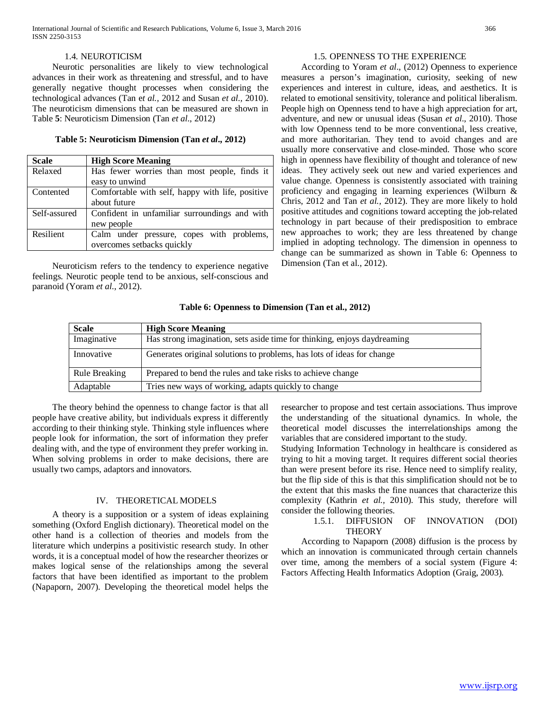International Journal of Scientific and Research Publications, Volume 6, Issue 3, March 2016 366 ISSN 2250-3153

#### 1.4. NEUROTICISM

 Neurotic personalities are likely to view technological advances in their work as threatening and stressful, and to have generally negative thought processes when considering the technological advances (Tan e*t al.,* 2012 and Susan *et al.,* 2010). The neuroticism dimensions that can be measured are shown in Table **5**: Neuroticism Dimension (Tan *et al*., 2012)

#### **Table 5: Neuroticism Dimension (Tan** *et al***., 2012)**

| <b>Scale</b> | <b>High Score Meaning</b>                        |  |
|--------------|--------------------------------------------------|--|
| Relaxed      | Has fewer worries than most people, finds it     |  |
|              | easy to unwind                                   |  |
| Contented    | Comfortable with self, happy with life, positive |  |
|              | about future                                     |  |
| Self-assured | Confident in unfamiliar surroundings and with    |  |
|              | new people                                       |  |
| Resilient    | Calm under pressure, copes with problems,        |  |
|              | overcomes setbacks quickly                       |  |

 Neuroticism refers to the tendency to experience negative feelings. Neurotic people tend to be anxious, self-conscious and paranoid (Yoram *et al*., 2012).

# 1.5. OPENNESS TO THE EXPERIENCE

 According to Yoram *et al*., (2012) Openness to experience measures a person's imagination, curiosity, seeking of new experiences and interest in culture, ideas, and aesthetics. It is related to emotional sensitivity, tolerance and political liberalism. People high on Openness tend to have a high appreciation for art, adventure, and new or unusual ideas (Susan *et al*., 2010). Those with low Openness tend to be more conventional, less creative, and more authoritarian. They tend to avoid changes and are usually more conservative and close-minded. Those who score high in openness have flexibility of thought and tolerance of new ideas. They actively seek out new and varied experiences and value change. Openness is consistently associated with training proficiency and engaging in learning experiences (Wilburn & Chris, 2012 and Tan *et al.,* 2012). They are more likely to hold positive attitudes and cognitions toward accepting the job-related technology in part because of their predisposition to embrace new approaches to work; they are less threatened by change implied in adopting technology. The dimension in openness to change can be summarized as shown in Table 6: Openness to Dimension (Tan et al., 2012).

#### **Table 6: Openness to Dimension (Tan et al., 2012)**

| <b>Scale</b>  | <b>High Score Meaning</b>                                                |
|---------------|--------------------------------------------------------------------------|
| Imaginative   | Has strong imagination, sets aside time for thinking, enjoys daydreaming |
| Innovative    | Generates original solutions to problems, has lots of ideas for change   |
| Rule Breaking | Prepared to bend the rules and take risks to achieve change              |
| Adaptable     | Tries new ways of working, adapts quickly to change                      |

 The theory behind the openness to change factor is that all people have creative ability, but individuals express it differently according to their thinking style. Thinking style influences where people look for information, the sort of information they prefer dealing with, and the type of environment they prefer working in. When solving problems in order to make decisions, there are usually two camps, adaptors and innovators.

#### IV. THEORETICAL MODELS

 A theory is a supposition or a system of ideas explaining something (Oxford English dictionary). Theoretical model on the other hand is a collection of theories and models from the literature which underpins a positivistic research study. In other words, it is a conceptual model of how the researcher theorizes or makes logical sense of the relationships among the several factors that have been identified as important to the problem (Napaporn, 2007). Developing the theoretical model helps the researcher to propose and test certain associations. Thus improve the understanding of the situational dynamics. In whole, the theoretical model discusses the interrelationships among the variables that are considered important to the study.

Studying Information Technology in healthcare is considered as trying to hit a moving target. It requires different social theories than were present before its rise. Hence need to simplify reality, but the flip side of this is that this simplification should not be to the extent that this masks the fine nuances that characterize this complexity (Kathrin *et al.,* 2010). This study, therefore will consider the following theories.

#### 1.5.1. DIFFUSION OF INNOVATION (DOI) **THEORY**

 According to Napaporn (2008) diffusion is the process by which an innovation is communicated through certain channels over time, among the members of a social system [\(Figure 4:](#page-7-0)  [Factors Affecting Health Informatics Adoption \(Graig, 2003\).](#page-7-0)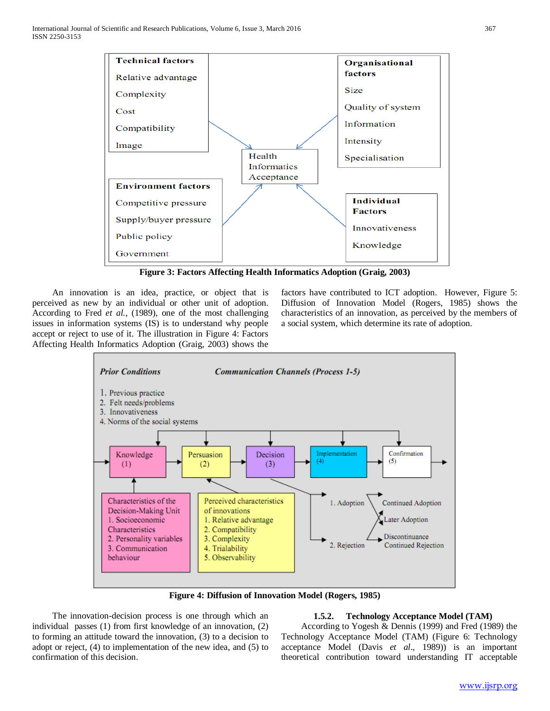

**Figure 3: Factors Affecting Health Informatics Adoption (Graig, 2003)**

<span id="page-7-0"></span> An innovation is an idea, practice, or object that is perceived as new by an individual or other unit of adoption. According to Fred *et al.*, (1989), one of the most challenging issues in information systems (IS) is to understand why people accept or reject to use of it. The illustration in Figure 4: Factors Affecting Health Informatics Adoption (Graig, 2003) shows the factors have contributed to ICT adoption. However, Figure 5: Diffusion of Innovation Model (Rogers, 1985) shows the characteristics of an innovation, as perceived by the members of a social system, which determine its rate of adoption.



**Figure 4: Diffusion of Innovation Model (Rogers, 1985)**

 The innovation-decision process is one through which an individual passes (1) from first knowledge of an innovation, (2) to forming an attitude toward the innovation, (3) to a decision to adopt or reject, (4) to implementation of the new idea, and (5) to confirmation of this decision.

#### **1.5.2. Technology Acceptance Model (TAM)**

 According to Yogesh & Dennis (1999) and Fred (1989) the Technology Acceptance Model (TAM) (Figure 6: Technology acceptance Model (Davis *et al*., 1989)) is an important theoretical contribution toward understanding IT acceptable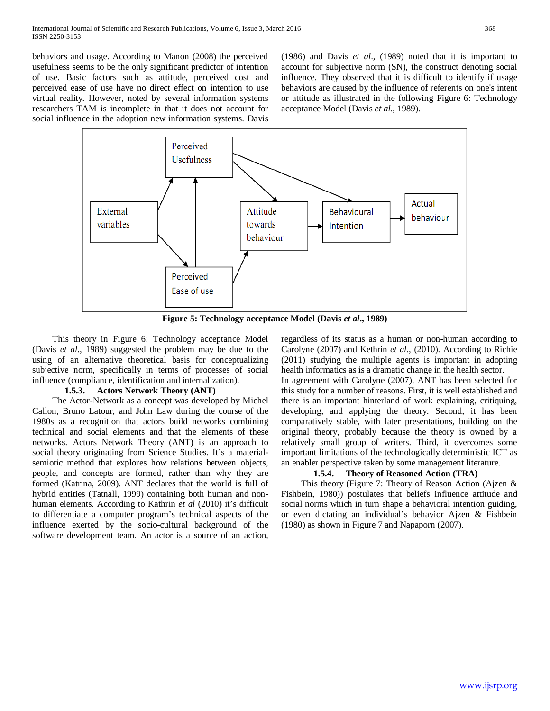behaviors and usage. According to Manon (2008) the perceived usefulness seems to be the only significant predictor of intention of use. Basic factors such as attitude, perceived cost and perceived ease of use have no direct effect on intention to use virtual reality. However, noted by several information systems researchers TAM is incomplete in that it does not account for social influence in the adoption new information systems. Davis

(1986) and Davis *et al*., (1989) noted that it is important to account for subjective norm (SN), the construct denoting social influence. They observed that it is difficult to identify if usage behaviors are caused by the influence of referents on one's intent or attitude as illustrated in the following [Figure 6: Technology](#page-8-0)  [acceptance Model \(Davis](#page-8-0) *et al*., 1989).



**Figure 5: Technology acceptance Model (Davis** *et al***., 1989)**

<span id="page-8-0"></span> This theory in [Figure 6: Technology acceptance Model](#page-8-0)  (Davis *et al*[., 1989\)](#page-8-0) suggested the problem may be due to the using of an alternative theoretical basis for conceptualizing subjective norm, specifically in terms of processes of social influence (compliance, identification and internalization).

#### **1.5.3. Actors Network Theory (ANT)**

 The Actor-Network as a concept was developed by Michel Callon, Bruno Latour, and John Law during the course of the 1980s as a recognition that actors build networks combining technical and social elements and that the elements of these networks. Actors Network Theory (ANT) is an approach to social theory originating from Science Studies. It's a materialsemiotic method that explores how relations between objects, people, and concepts are formed, rather than why they are formed (Katrina, 2009). ANT declares that the world is full of hybrid entities (Tatnall, 1999) containing both human and nonhuman elements. According to Kathrin *et al* (2010) it's difficult to differentiate a computer program's technical aspects of the influence exerted by the socio-cultural background of the software development team. An actor is a source of an action, regardless of its status as a human or non-human according to Carolyne (2007) and Kethrin *et al*., (2010). According to Richie (2011) studying the multiple agents is important in adopting health informatics as is a dramatic change in the health sector.

In agreement with Carolyne (2007), ANT has been selected for this study for a number of reasons. First, it is well established and there is an important hinterland of work explaining, critiquing, developing, and applying the theory. Second, it has been comparatively stable, with later presentations, building on the original theory, probably because the theory is owned by a relatively small group of writers. Third, it overcomes some important limitations of the technologically deterministic ICT as an enabler perspective taken by some management literature.

# **1.5.4. Theory of Reasoned Action (TRA)**

 This theory [\(Figure 7: Theory of Reason Action \(Ajzen &](#page-9-0)  [Fishbein, 1980\)\)](#page-9-0) postulates that beliefs influence attitude and social norms which in turn shape a behavioral intention guiding, or even dictating an individual's behavior Ajzen & Fishbein (1980) as shown in [Figure 7](#page-9-0) and Napaporn (2007).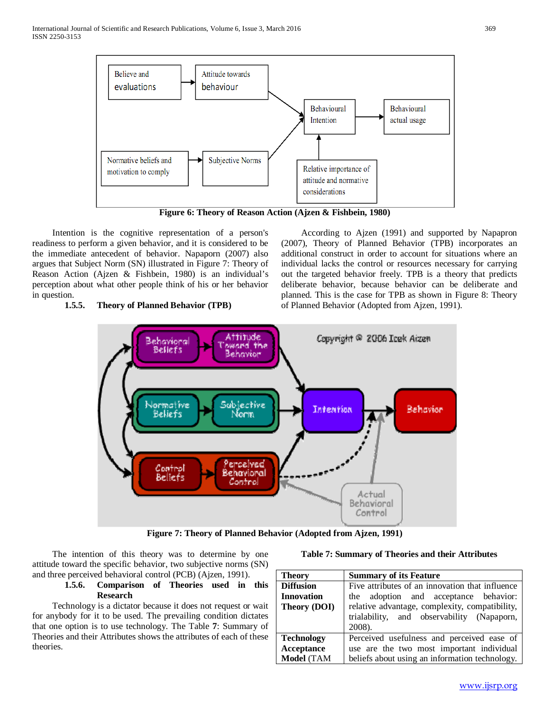

**Figure 6: Theory of Reason Action (Ajzen & Fishbein, 1980)**

<span id="page-9-0"></span> Intention is the cognitive representation of a person's readiness to perform a given behavior, and it is considered to be the immediate antecedent of behavior. Napaporn (2007) also argues that Subject Norm (SN) illustrated in Figure 7: Theory of Reason Action (Ajzen & Fishbein, 1980) is an individual's perception about what other people think of his or her behavior in question.

# **1.5.5. Theory of Planned Behavior (TPB)**

 According to Ajzen (1991) and supported by Napapron (2007), Theory of Planned Behavior (TPB) incorporates an additional construct in order to account for situations where an individual lacks the control or resources necessary for carrying out the targeted behavior freely. TPB is a theory that predicts deliberate behavior, because behavior can be deliberate and planned. This is the case for TPB as shown in Figure 8: Theory of Planned Behavior (Adopted from Ajzen, 1991).



**Figure 7: Theory of Planned Behavior (Adopted from Ajzen, 1991)**

 The intention of this theory was to determine by one attitude toward the specific behavior, two subjective norms (SN) and three perceived behavioral control (PCB) (Ajzen, 1991).

# **1.5.6. Comparison of Theories used in this Research**

 Technology is a dictator because it does not request or wait for anybody for it to be used. The prevailing condition dictates that one option is to use technology. The Table **7**[: Summary of](#page-9-1)  [Theories and their Attributes](#page-9-1) shows the attributes of each of these theories.

#### **Table 7: Summary of Theories and their Attributes**

<span id="page-9-1"></span>

| <b>Theory</b>       | <b>Summary of its Feature</b>                   |  |
|---------------------|-------------------------------------------------|--|
| <b>Diffusion</b>    | Five attributes of an innovation that influence |  |
| <b>Innovation</b>   | the adoption and acceptance behavior:           |  |
| <b>Theory (DOI)</b> | relative advantage, complexity, compatibility,  |  |
|                     | trialability, and observability (Napaporn,      |  |
|                     | 2008).                                          |  |
| <b>Technology</b>   | Perceived usefulness and perceived ease of      |  |
| Acceptance          | use are the two most important individual       |  |
| <b>Model</b> (TAM   | beliefs about using an information technology.  |  |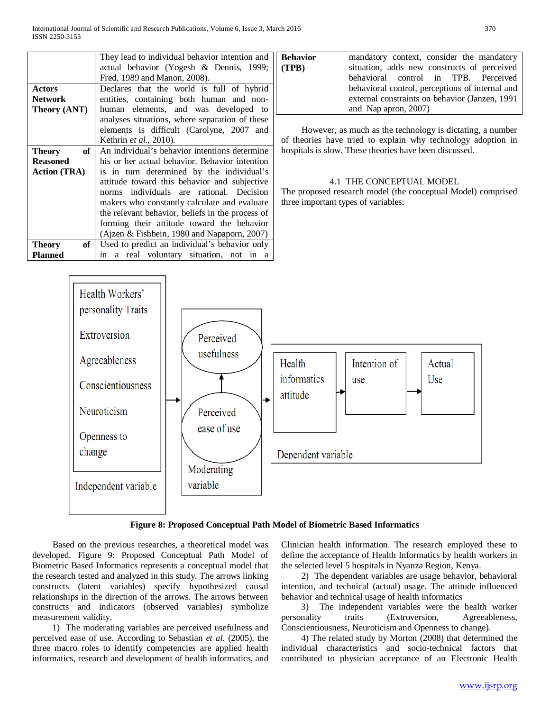|                                  | They lead to individual behavior intention and   | <b>Behavior</b>                                              | mandatory context, consider the mandatory                    |
|----------------------------------|--------------------------------------------------|--------------------------------------------------------------|--------------------------------------------------------------|
|                                  | actual behavior (Yogesh & Dennis, 1999;          | (TPB)                                                        | situation, adds new constructs of perceived                  |
|                                  | Fred, 1989 and Manon, 2008).                     |                                                              | behavioral control in TPB. Perceived                         |
| <b>Actors</b>                    | Declares that the world is full of hybrid        |                                                              | behavioral control, perceptions of internal and              |
| <b>Network</b>                   | entities, containing both human and non-         |                                                              | external constraints on behavior (Janzen, 1991)              |
| Theory (ANT)                     | human elements, and was developed to             |                                                              | and Nap apron, $2007$ )                                      |
|                                  | analyses situations, where separation of these   |                                                              |                                                              |
|                                  | elements is difficult (Carolyne, 2007 and        |                                                              | However, as much as the technology is dictating, a number    |
|                                  | Kethrin et al., 2010).                           |                                                              | of theories have tried to explain why technology adoption in |
| of<br><b>Theory</b>              | An individual's behavior intentions determine    | hospitals is slow. These theories have been discussed.       |                                                              |
| <b>Reasoned</b>                  | his or her actual behavior. Behavior intention   |                                                              |                                                              |
| <b>Action</b> (TRA)              | is in turn determined by the individual's        |                                                              |                                                              |
|                                  | attitude toward this behavior and subjective     | 4.1 THE CONCEPTUAL MODEL                                     |                                                              |
|                                  | norms individuals are rational. Decision         | The proposed research model (the conceptual Model) comprised |                                                              |
|                                  | makers who constantly calculate and evaluate     | three important types of variables:                          |                                                              |
|                                  | the relevant behavior, beliefs in the process of |                                                              |                                                              |
|                                  | forming their attitude toward the behavior       |                                                              |                                                              |
|                                  | (Ajzen & Fishbein, 1980 and Napaporn, 2007)      |                                                              |                                                              |
| of <sub>1</sub><br><b>Theory</b> | Used to predict an individual's behavior only    |                                                              |                                                              |
| <b>Planned</b>                   | in a real voluntary situation, not in a          |                                                              |                                                              |



#### **Figure 8: Proposed Conceptual Path Model of Biometric Based Informatics**

 Based on the previous researches, a theoretical model was developed. Figure 9: Proposed Conceptual Path Model of Biometric Based Informatics represents a conceptual model that the research tested and analyzed in this study. The arrows linking constructs (latent variables) specify hypothesized causal relationships in the direction of the arrows. The arrows between constructs and indicators (observed variables) symbolize measurement validity.

 1) The moderating variables are perceived usefulness and perceived ease of use. According to Sebastian *et al.* (2005), the three macro roles to identify competencies are applied health informatics, research and development of health informatics, and Clinician health information. The research employed these to define the acceptance of Health Informatics by health workers in the selected level 5 hospitals in Nyanza Region, Kenya.

 2) The dependent variables are usage behavior, behavioral intention, and technical (actual) usage. The attitude influenced behavior and technical usage of health informatics

3) The independent variables were the health worker<br>mality traits (Extroversion, Agreeableness, personality traits (Extroversion, Agreeableness, Conscientiousness, Neuroticism and Openness to change).

 4) The related study by Morton (2008) that determined the individual characteristics and socio-technical factors that contributed to physician acceptance of an Electronic Health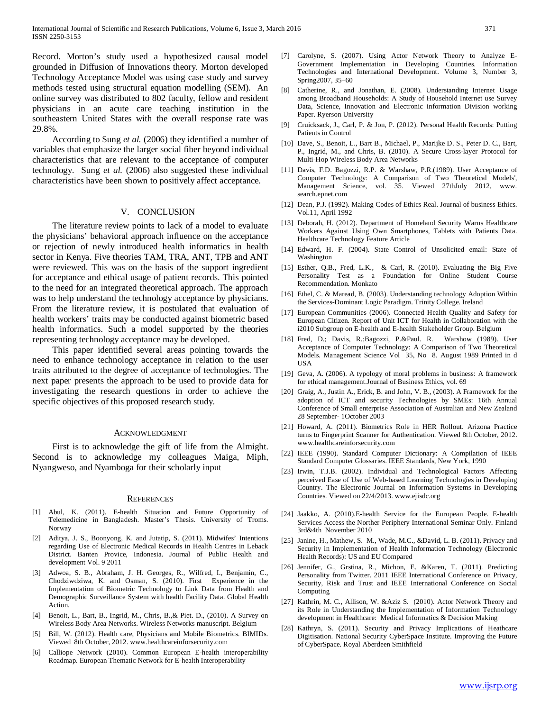Record. Morton's study used a hypothesized causal model grounded in Diffusion of Innovations theory. Morton developed Technology Acceptance Model was using case study and survey methods tested using structural equation modelling (SEM). An online survey was distributed to 802 faculty, fellow and resident physicians in an acute care teaching institution in the southeastern United States with the overall response rate was 29.8%.

 According to Sung *et al.* (2006) they identified a number of variables that emphasize the larger social fiber beyond individual characteristics that are relevant to the acceptance of computer technology. Sung *et al.* (2006) also suggested these individual characteristics have been shown to positively affect acceptance.

#### V. CONCLUSION

 The literature review points to lack of a model to evaluate the physicians' behavioral approach influence on the acceptance or rejection of newly introduced health informatics in health sector in Kenya. Five theories TAM, TRA, ANT, TPB and ANT were reviewed. This was on the basis of the support ingredient for acceptance and ethical usage of patient records. This pointed to the need for an integrated theoretical approach. The approach was to help understand the technology acceptance by physicians. From the literature review, it is postulated that evaluation of health workers' traits may be conducted against biometric based health informatics. Such a model supported by the theories representing technology acceptance may be developed.

 This paper identified several areas pointing towards the need to enhance technology acceptance in relation to the user traits attributed to the degree of acceptance of technologies. The next paper presents the approach to be used to provide data for investigating the research questions in order to achieve the specific objectives of this proposed research study.

#### ACKNOWLEDGMENT

 First is to acknowledge the gift of life from the Almight. Second is to acknowledge my colleagues Maiga, Miph, Nyangweso, and Nyamboga for their scholarly input

#### **REFERENCES**

- [1] Abul, K. (2011). E-health Situation and Future Opportunity of Telemedicine in Bangladesh. Master's Thesis. University of Troms. Norway
- [2] Aditya, J. S., Boonyong, K. and Jutatip, S. (2011). Midwifes' Intentions regarding Use of Electronic Medical Records in Health Centres in Leback District. Banten Provice, Indonesia. Journal of Public Health and development Vol. 9 2011
- [3] Adwoa, S. B., Abraham, J. H. Georges, R., Wilfred, I., Benjamin, C., Chodziwdziwa, K. and Osman, S. (2010). First Experience in the Implementation of Biometric Technology to Link Data from Health and Demographic Surveillance System with health Facility Data. Global Health Action.
- [4] Benoit, L., Bart, B., Ingrid, M., Chris, B.,& Piet. D., (2010). A Survey on Wireless Body Area Networks. Wireless Networks manuscript. Belgium
- [5] Bill, W. (2012). Health care, Physicians and Mobile Biometrics. BIMIDs. Viewed 8th October, 2012. www.healthcareinforsecurity.com
- [6] Calliope Network (2010). Common European E-health interoperability Roadmap. European Thematic Network for E-health Interoperability
- [7] Carolyne, S. (2007). Using Actor Network Theory to Analyze E-Government Implementation in Developing Countries. Information Technologies and International Development. Volume 3, Number 3, Spring2007, 35–60
- [8] Catherine, R., and Jonathan, E. (2008). Understanding Internet Usage among Broadband Households: A Study of Household Internet use Survey Data, Science, Innovation and Electronic information Division working Paper. Ryerson University
- [9] Cruicksack, J., Carl, P. & Jon, P. (2012). Personal Health Records: Putting Patients in Control
- [10] Dave, S., Benoit, L., Bart B., Michael, P., Marijke D. S., Peter D. C., Bart, P., Ingrid, M., and Chris, B. (2010). A Secure Cross-layer Protocol for Multi-Hop Wireless Body Area Networks
- [11] Davis, F.D. Bagozzi, R.P. & Warshaw, P.R.(1989). User Acceptance of Computer Technology: A Comparison of Two Theoretical Models', Management Science, vol. 35. Viewed 27thJuly 2012, www. search.epnet.com
- [12] Dean, P.J. (1992). Making Codes of Ethics Real. Journal of business Ethics. Vol.11, April 1992
- [13] Deborah, H. (2012). Department of Homeland Security Warns Healthcare Workers Against Using Own Smartphones, Tablets with Patients Data. Healthcare Technology Feature Article
- [14] Edward, H. F. (2004). State Control of Unsolicited email: State of Washington
- [15] Esther, Q.B., Fred, L.K., & Carl, R. (2010). Evaluating the Big Five Personality Test as a Foundation for Online Student Course Recommendation. Monkato
- [16] Ethel, C. & Maread, B. (2003). Understanding technology Adoption Within the Services-Dominant Logic Paradigm. Trinity College. Ireland
- [17] European Communities (2006). Connected Health Quality and Safety for European Citizen. Report of Unit ICT for Health in Collaboration with the i2010 Subgroup on E-health and E-health Stakeholder Group. Belgium
- [18] Fred, D.; Davis, R.;Bagozzi, P.&Paul. R. Warshow (1989). User Acceptance of Computer Technology: A Comparison of Two Theoretical Models. Management Science Vol 35, No 8. August 1989 Printed in d USA
- [19] Geva, A. (2006). A typology of moral problems in business: A framework for ethical management.Journal of Business Ethics, vol. 69
- [20] Graig, A., Justin A., Erick, B. and John, V. B., (2003). A Framework for the adoption of ICT and security Technologies by SMEs: 16th Annual Conference of Small enterprise Association of Australian and New Zealand 28 September- 1October 2003
- [21] Howard, A. (2011). Biometrics Role in HER Rollout. Arizona Practice turns to Fingerprint Scanner for Authentication. Viewed 8th October, 2012. www.healthcareinforsecurity.com
- [22] IEEE (1990). Standard Computer Dictionary: A Compilation of IEEE Standard Computer Glossaries. IEEE Standards, New York, 1990
- [23] Irwin, T.J.B. (2002). Individual and Technological Factors Affecting perceived Ease of Use of Web-based Learning Technologies in Developing Country. The Electronic Journal on Information Systems in Developing Countries. Viewed on 22/4/2013. www.ejisdc.org
- [24] Jaakko, A. (2010).E-health Service for the European People. E-health Services Access the Norther Periphery International Seminar Only. Finland 3rd&4th November 2010
- [25] Janine, H., Mathew, S. M., Wade, M.C., &David, L. B. (2011). Privacy and Security in Implementation of Health Information Technology (Electronic Health Records): US and EU Compared
- [26] Jennifer, G., Grstina, R., Michon, E. &Karen, T. (2011). Predicting Personality from Twitter. 2011 IEEE International Conference on Privacy, Security, Risk and Trust and IEEE International Conference on Social Computing
- [27] Kathrin, M. C., Allison, W. &Aziz S. (2010). Actor Network Theory and its Role in Understanding the Implementation of Information Technology development in Healthcare: Medical Informatics & Decision Making
- [28] Kathryn, S. (2011). Security and Privacy Implications of Heathcare Digitisation. National Security CyberSpace Institute. Improving the Future of CyberSpace. Royal Aberdeen Smithfield